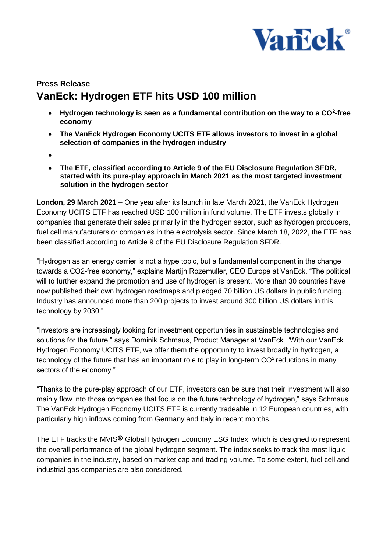

## **Press Release VanEck: Hydrogen ETF hits USD 100 million**

- **Hydrogen technology is seen as a fundamental contribution on the way to a CO<sup>2</sup> -free economy**
- **The VanEck Hydrogen Economy UCITS ETF allows investors to invest in a global selection of companies in the hydrogen industry**
- $\bullet$
- **The ETF, classified according to Article 9 of the EU Disclosure Regulation SFDR, started with its pure-play approach in March 2021 as the most targeted investment solution in the hydrogen sector**

**London, 29 March 2021** – One year after its launch in late March 2021, the VanEck Hydrogen Economy UCITS ETF has reached USD 100 million in fund volume. The ETF invests globally in companies that generate their sales primarily in the hydrogen sector, such as hydrogen producers, fuel cell manufacturers or companies in the electrolysis sector. Since March 18, 2022, the ETF has been classified according to Article 9 of the EU Disclosure Regulation SFDR.

"Hydrogen as an energy carrier is not a hype topic, but a fundamental component in the change towards a CO2-free economy," explains Martijn Rozemuller, CEO Europe at VanEck. "The political will to further expand the promotion and use of hydrogen is present. More than 30 countries have now published their own hydrogen roadmaps and pledged 70 billion US dollars in public funding. Industry has announced more than 200 projects to invest around 300 billion US dollars in this technology by 2030."

"Investors are increasingly looking for investment opportunities in sustainable technologies and solutions for the future," says Dominik Schmaus, Product Manager at VanEck. "With our VanEck Hydrogen Economy UCITS ETF, we offer them the opportunity to invest broadly in hydrogen, a technology of the future that has an important role to play in long-term  $CO<sup>2</sup>$  reductions in many sectors of the economy."

"Thanks to the pure-play approach of our ETF, investors can be sure that their investment will also mainly flow into those companies that focus on the future technology of hydrogen," says Schmaus. The VanEck Hydrogen Economy UCITS ETF is currently tradeable in 12 European countries, with particularly high inflows coming from Germany and Italy in recent months.

The ETF tracks the MVIS<sup>®</sup> Global Hydrogen Economy ESG Index, which is designed to represent the overall performance of the global hydrogen segment. The index seeks to track the most liquid companies in the industry, based on market cap and trading volume. To some extent, fuel cell and industrial gas companies are also considered.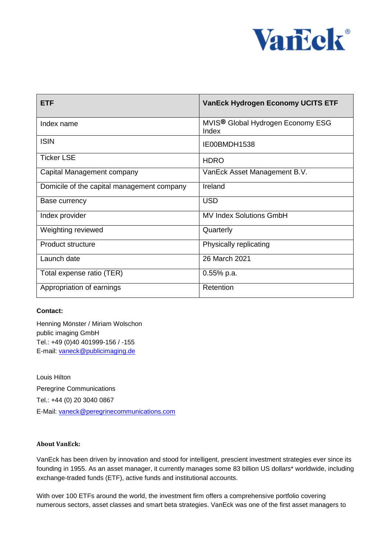

| <b>ETF</b>                                 | <b>VanEck Hydrogen Economy UCITS ETF</b>               |
|--------------------------------------------|--------------------------------------------------------|
| Index name                                 | MVIS <sup>®</sup> Global Hydrogen Economy ESG<br>Index |
| <b>ISIN</b>                                | IE00BMDH1538                                           |
| <b>Ticker LSE</b>                          | <b>HDRO</b>                                            |
| Capital Management company                 | VanEck Asset Management B.V.                           |
| Domicile of the capital management company | Ireland                                                |
| Base currency                              | <b>USD</b>                                             |
| Index provider                             | <b>MV Index Solutions GmbH</b>                         |
| Weighting reviewed                         | Quarterly                                              |
| <b>Product structure</b>                   | Physically replicating                                 |
| Launch date                                | 26 March 2021                                          |
| Total expense ratio (TER)                  | 0.55% p.a.                                             |
| Appropriation of earnings                  | Retention                                              |

## **Contact:**

Henning Mönster / Miriam Wolschon public imaging GmbH Tel.: +49 (0)40 401999-156 / -155 E-mail: [vaneck@publicimaging.de](mailto:vaneck@publicimaging.de)

Louis Hilton Peregrine Communications Tel.: +44 (0) 20 3040 0867 E-Mail: [vaneck@peregrinecommunications.com](mailto:vaneck@peregrinecommunications.com)

## **About VanEck:**

VanEck has been driven by innovation and stood for intelligent, prescient investment strategies ever since its founding in 1955. As an asset manager, it currently manages some 83 billion US dollars\* worldwide, including exchange-traded funds (ETF), active funds and institutional accounts.

With over 100 ETFs around the world, the investment firm offers a comprehensive portfolio covering numerous sectors, asset classes and smart beta strategies. VanEck was one of the first asset managers to